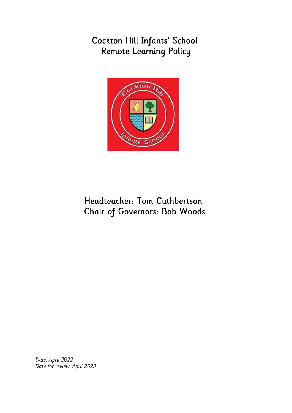# Cockton Hill Infants' School Remote Learning Policy



# Headteacher: Tom Cuthbertson **Chair of Governors: Bob Woods**

Date: April 2022 Date for review: April 2023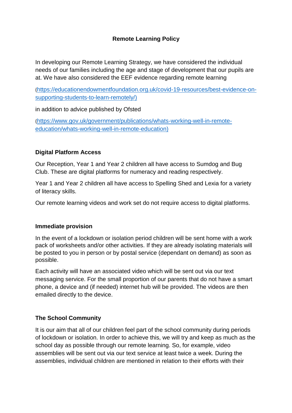#### **Remote Learning Policy**

In developing our Remote Learning Strategy, we have considered the individual needs of our families including the age and stage of development that our pupils are at. We have also considered the EEF evidence regarding remote learning

([https://educationendowmentfoundation.org.uk/covid-19-resources/best-evidence-on](https://educationendowmentfoundation.org.uk/covid-19-resources/best-evidence-on-supporting-students-to-learn-remotely/)[supporting-students-to-learn-remotely/\)](https://educationendowmentfoundation.org.uk/covid-19-resources/best-evidence-on-supporting-students-to-learn-remotely/)

in addition to advice published by Ofsted

([https://www.gov.uk/government/publications/whats-working-well-in-remote](https://www.gov.uk/government/publications/whats-working-well-in-remote-education/whats-working-well-in-remote-education)[education/whats-working-well-in-remote-education\)](https://www.gov.uk/government/publications/whats-working-well-in-remote-education/whats-working-well-in-remote-education)

#### **Digital Platform Access**

Our Reception, Year 1 and Year 2 children all have access to Sumdog and Bug Club. These are digital platforms for numeracy and reading respectively.

Year 1 and Year 2 children all have access to Spelling Shed and Lexia for a variety of literacy skills.

Our remote learning videos and work set do not require access to digital platforms.

#### **Immediate provision**

In the event of a lockdown or isolation period children will be sent home with a work pack of worksheets and/or other activities. If they are already isolating materials will be posted to you in person or by postal service (dependant on demand) as soon as possible.

Each activity will have an associated video which will be sent out via our text messaging service. For the small proportion of our parents that do not have a smart phone, a device and (if needed) internet hub will be provided. The videos are then emailed directly to the device.

#### **The School Community**

It is our aim that all of our children feel part of the school community during periods of lockdown or isolation. In order to achieve this, we will try and keep as much as the school day as possible through our remote learning. So, for example, video assemblies will be sent out via our text service at least twice a week. During the assemblies, individual children are mentioned in relation to their efforts with their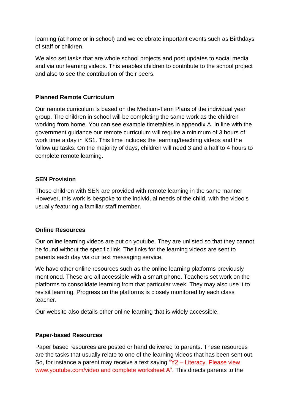learning (at home or in school) and we celebrate important events such as Birthdays of staff or children.

We also set tasks that are whole school projects and post updates to social media and via our learning videos. This enables children to contribute to the school project and also to see the contribution of their peers.

#### **Planned Remote Curriculum**

Our remote curriculum is based on the Medium-Term Plans of the individual year group. The children in school will be completing the same work as the children working from home. You can see example timetables in appendix A. In line with the government guidance our remote curriculum will require a minimum of 3 hours of work time a day in KS1. This time includes the learning/teaching videos and the follow up tasks. On the majority of days, children will need 3 and a half to 4 hours to complete remote learning.

#### **SEN Provision**

Those children with SEN are provided with remote learning in the same manner. However, this work is bespoke to the individual needs of the child, with the video's usually featuring a familiar staff member.

#### **Online Resources**

Our online learning videos are put on youtube. They are unlisted so that they cannot be found without the specific link. The links for the learning videos are sent to parents each day via our text messaging service.

We have other online resources such as the online learning platforms previously mentioned. These are all accessible with a smart phone. Teachers set work on the platforms to consolidate learning from that particular week. They may also use it to revisit learning. Progress on the platforms is closely monitored by each class teacher.

Our website also details other online learning that is widely accessible.

#### **Paper-based Resources**

Paper based resources are posted or hand delivered to parents. These resources are the tasks that usually relate to one of the learning videos that has been sent out. So, for instance a parent may receive a text saying "Y2 – Literacy. Please view [www.youtube.com/video](http://www.youtube.com/video) and complete worksheet A". This directs parents to the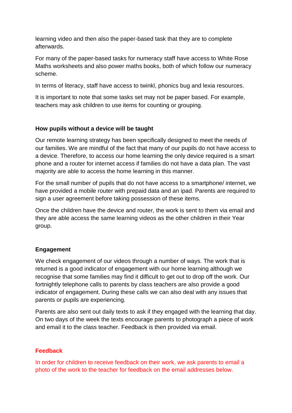learning video and then also the paper-based task that they are to complete afterwards.

For many of the paper-based tasks for numeracy staff have access to White Rose Maths worksheets and also power maths books, both of which follow our numeracy scheme.

In terms of literacy, staff have access to twinkl, phonics bug and lexia resources.

It is important to note that some tasks set may not be paper based. For example, teachers may ask children to use items for counting or grouping.

#### **How pupils without a device will be taught**

Our remote learning strategy has been specifically designed to meet the needs of our families. We are mindful of the fact that many of our pupils do not have access to a device. Therefore, to access our home learning the only device required is a smart phone and a router for internet access if families do not have a data plan. The vast majority are able to access the home learning in this manner.

For the small number of pupils that do not have access to a smartphone/ internet, we have provided a mobile router with prepaid data and an ipad. Parents are required to sign a user agreement before taking possession of these items.

Once the children have the device and router, the work is sent to them via email and they are able access the same learning videos as the other children in their Year group.

#### **Engagement**

We check engagement of our videos through a number of ways. The work that is returned is a good indicator of engagement with our home learning although we recognise that some families may find it difficult to get out to drop off the work. Our fortnightly telephone calls to parents by class teachers are also provide a good indicator of engagement. During these calls we can also deal with any issues that parents or pupils are experiencing.

Parents are also sent out daily texts to ask if they engaged with the learning that day. On two days of the week the texts encourage parents to photograph a piece of work and email it to the class teacher. Feedback is then provided via email.

#### **Feedback**

In order for children to receive feedback on their work, we ask parents to email a photo of the work to the teacher for feedback on the email addresses below.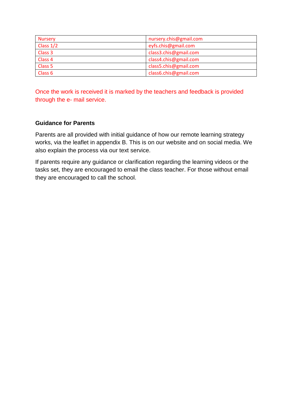| <b>Nursery</b>     | nursery.chis@gmail.com |
|--------------------|------------------------|
| Class $1/2$        | eyfs.chis@gmail.com    |
| Class 3            | class3.chis@gmail.com  |
| Class 4            | class4.chis@gmail.com  |
| Class <sub>5</sub> | class5.chis@gmail.com  |
| Class <sub>6</sub> | class6.chis@gmail.com  |

Once the work is received it is marked by the teachers and feedback is provided through the e- mail service.

#### **Guidance for Parents**

Parents are all provided with initial guidance of how our remote learning strategy works, via the leaflet in appendix B. This is on our website and on social media. We also explain the process via our text service.

If parents require any guidance or clarification regarding the learning videos or the tasks set, they are encouraged to email the class teacher. For those without email they are encouraged to call the school.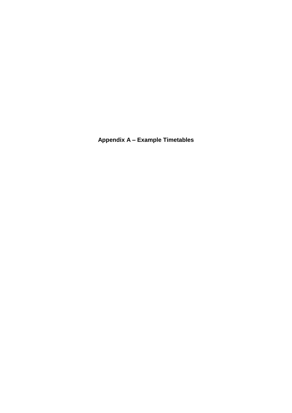**Appendix A – Example Timetables**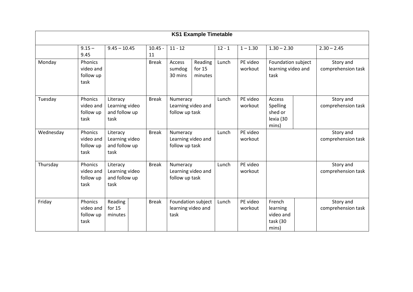| <b>KS1 Example Timetable</b> |                                           |                                                     |                 |                                                  |                                |          |                     |                                                            |  |                                 |
|------------------------------|-------------------------------------------|-----------------------------------------------------|-----------------|--------------------------------------------------|--------------------------------|----------|---------------------|------------------------------------------------------------|--|---------------------------------|
|                              | $9.15 -$<br>9.45                          | $9.45 - 10.45$                                      | $10.45 -$<br>11 | $11 - 12$                                        |                                | $12 - 1$ | $1 - 1.30$          | $1.30 - 2.30$                                              |  | $2.30 - 2.45$                   |
| Monday                       | Phonics<br>video and<br>follow up<br>task |                                                     | <b>Break</b>    | Access<br>sumdog<br>30 mins                      | Reading<br>for $15$<br>minutes | Lunch    | PE video<br>workout | Foundation subject<br>learning video and<br>task           |  | Story and<br>comprehension task |
| Tuesday                      | Phonics<br>video and<br>follow up<br>task | Literacy<br>Learning video<br>and follow up<br>task | <b>Break</b>    | Numeracy<br>Learning video and<br>follow up task |                                | Lunch    | PE video<br>workout | Access<br><b>Spelling</b><br>shed or<br>lexia (30<br>mins) |  | Story and<br>comprehension task |
| Wednesday                    | Phonics<br>video and<br>follow up<br>task | Literacy<br>Learning video<br>and follow up<br>task | <b>Break</b>    | Numeracy<br>Learning video and<br>follow up task |                                | Lunch    | PE video<br>workout |                                                            |  | Story and<br>comprehension task |
| Thursday                     | Phonics<br>video and<br>follow up<br>task | Literacy<br>Learning video<br>and follow up<br>task | <b>Break</b>    | Numeracy<br>Learning video and<br>follow up task |                                | Lunch    | PE video<br>workout |                                                            |  | Story and<br>comprehension task |
| Friday                       | Phonics<br>video and<br>follow up<br>task | Reading<br>for $15$<br>minutes                      | <b>Break</b>    | learning video and<br>task                       | Foundation subject             | Lunch    | PE video<br>workout | French<br>learning<br>video and<br>task (30<br>mins)       |  | Story and<br>comprehension task |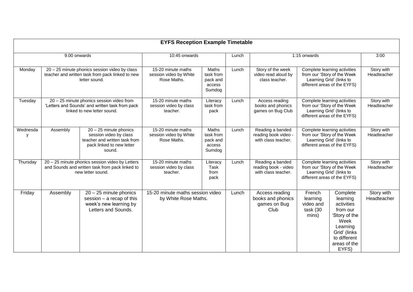| <b>EYFS Reception Example Timetable</b> |                                                                                                                         |                                                                                                                             |                                                             |                                                    |       |                                                                 |                                                                                                                         |                                                                                                                                              |                           |
|-----------------------------------------|-------------------------------------------------------------------------------------------------------------------------|-----------------------------------------------------------------------------------------------------------------------------|-------------------------------------------------------------|----------------------------------------------------|-------|-----------------------------------------------------------------|-------------------------------------------------------------------------------------------------------------------------|----------------------------------------------------------------------------------------------------------------------------------------------|---------------------------|
| 9.00 onwards                            |                                                                                                                         |                                                                                                                             | 10:45 onwards                                               |                                                    | Lunch | 1:15 onwards                                                    |                                                                                                                         |                                                                                                                                              | 3:00                      |
| Monday                                  |                                                                                                                         | 20 - 25 minute phonics session video by class<br>teacher and written task from pack linked to new<br>letter sound.          | 15-20 minute maths<br>session video by White<br>Rose Maths. | Maths<br>task from<br>pack and<br>access<br>Sumdog | Lunch | Story of the week<br>video read aloud by<br>class teacher.      | Complete learning activities<br>from our 'Story of the Week<br>Learning Grid' (links to<br>different areas of the EYFS) |                                                                                                                                              | Story with<br>Headteacher |
| Tuesday                                 |                                                                                                                         | 20 - 25 minute phonics session video from<br>'Letters and Sounds' and written task from pack<br>linked to new letter sound. | 15-20 minute maths<br>session video by class<br>teacher.    | Literacy<br>task from<br>pack                      | Lunch | Access reading<br>books and phonics<br>games on Bug Club        | Complete learning activities<br>from our 'Story of the Week<br>Learning Grid' (links to<br>different areas of the EYFS) |                                                                                                                                              | Story with<br>Headteacher |
| Wednesda<br>٧                           | Assembly                                                                                                                | $20 - 25$ minute phonics<br>session video by class<br>teacher and written task from<br>pack linked to new letter<br>sound.  | 15-20 minute maths<br>session video by White<br>Rose Maths. | Maths<br>task from<br>pack and<br>access<br>Sumdog | Lunch | Reading a banded<br>reading book video -<br>with class teacher. |                                                                                                                         | Complete learning activities<br>from our 'Story of the Week<br>Learning Grid' (links to<br>different areas of the EYFS)                      | Story with<br>Headteacher |
| Thursday                                | 20 - 25 minute phonics session video by Letters<br>and Sounds and written task from pack linked to<br>new letter sound. |                                                                                                                             | 15-20 minute maths<br>session video by class<br>teacher.    | Literacy<br>Task<br>from<br>pack                   | Lunch | Reading a banded<br>reading book - video<br>with class teacher. | Complete learning activities<br>from our 'Story of the Week<br>Learning Grid' (links to<br>different areas of the EYFS) |                                                                                                                                              | Story with<br>Headteacher |
| Friday                                  | Assembly                                                                                                                | $20 - 25$ minute phonics<br>session $-$ a recap of this<br>week's new learning by<br>Letters and Sounds.                    | 15-20 minute maths session video<br>by White Rose Maths.    |                                                    | Lunch | Access reading<br>books and phonics<br>games on Bug<br>Club     | French<br>learning<br>video and<br>task (30<br>mins)                                                                    | Complete<br>learning<br>activities<br>from our<br>'Story of the<br>Week<br>Learning<br>Grid' (links<br>to different<br>areas of the<br>EYFS) | Story with<br>Headteacher |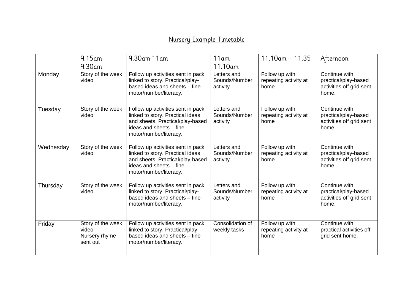### Nursery Example Timetable

|           | $9.15$ am-<br>$9.30$ am                                 | 9.30am-11am                                                                                                                                                    | $11$ am-<br>11.10am                      | $11.10$ am $- 11.35$                            | Afternoon                                                                  |
|-----------|---------------------------------------------------------|----------------------------------------------------------------------------------------------------------------------------------------------------------------|------------------------------------------|-------------------------------------------------|----------------------------------------------------------------------------|
| Monday    | Story of the week<br>video                              | Follow up activities sent in pack<br>linked to story. Practical/play-<br>based ideas and sheets - fine<br>motor/number/literacy.                               | Letters and<br>Sounds/Number<br>activity | Follow up with<br>repeating activity at<br>home | Continue with<br>practical/play-based<br>activities off grid sent<br>home. |
| Tuesday   | Story of the week<br>video                              | Follow up activities sent in pack<br>linked to story. Practical ideas<br>and sheets. Practical/play-based<br>ideas and sheets - fine<br>motor/number/literacy. | Letters and<br>Sounds/Number<br>activity | Follow up with<br>repeating activity at<br>home | Continue with<br>practical/play-based<br>activities off grid sent<br>home. |
| Wednesday | Story of the week<br>video                              | Follow up activities sent in pack<br>linked to story. Practical ideas<br>and sheets. Practical/play-based<br>ideas and sheets - fine<br>motor/number/literacy. | Letters and<br>Sounds/Number<br>activity | Follow up with<br>repeating activity at<br>home | Continue with<br>practical/play-based<br>activities off grid sent<br>home. |
| Thursday  | Story of the week<br>video                              | Follow up activities sent in pack<br>linked to story. Practical/play-<br>based ideas and sheets - fine<br>motor/number/literacy.                               | Letters and<br>Sounds/Number<br>activity | Follow up with<br>repeating activity at<br>home | Continue with<br>practical/play-based<br>activities off grid sent<br>home. |
| Friday    | Story of the week<br>video<br>Nursery rhyme<br>sent out | Follow up activities sent in pack<br>linked to story. Practical/play-<br>based ideas and sheets - fine<br>motor/number/literacy.                               | Consolidation of<br>weekly tasks         | Follow up with<br>repeating activity at<br>home | Continue with<br>practical activities off<br>grid sent home.               |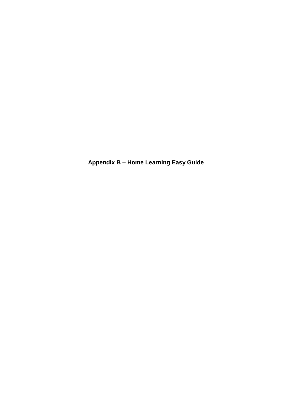**Appendix B – Home Learning Easy Guide**